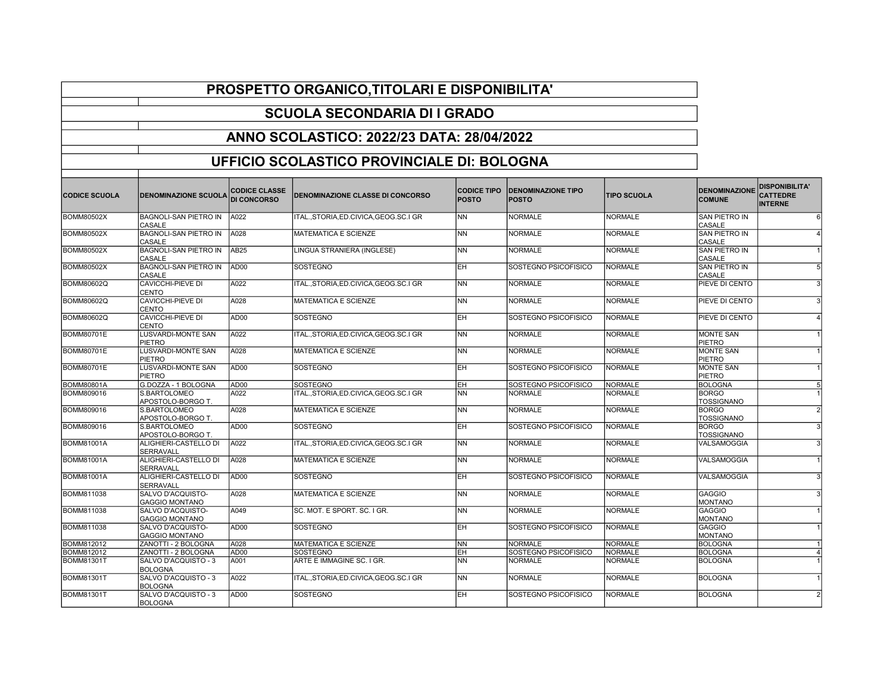## PROSPETTO ORGANICO,TITOLARI E DISPONIBILITA'

## SCUOLA SECONDARIA DI I GRADO

## ANNO SCOLASTICO: 2022/23 DATA: 28/04/2022

## UFFICIO SCOLASTICO PROVINCIALE DI: BOLOGNA

| <b>CODICE SCUOLA</b> | <b>DENOMINAZIONE SCUOLA</b>                | <b>CODICE CLASSE</b><br>DI CONCORSO | <b>DENOMINAZIONE CLASSE DI CONCORSO</b> | <b>CODICE TIPO</b><br><b>POSTO</b> | <b>DENOMINAZIONE TIPO</b><br><b>POSTO</b> | <b>TIPO SCUOLA</b> | <b>DENOMINAZIONE</b><br><b>COMUNE</b> | <b>DISPONIBILITA'</b><br><b>CATTEDRE</b><br><b>INTERNE</b> |
|----------------------|--------------------------------------------|-------------------------------------|-----------------------------------------|------------------------------------|-------------------------------------------|--------------------|---------------------------------------|------------------------------------------------------------|
| <b>BOMM80502X</b>    | BAGNOLI-SAN PIETRO IN<br>CASALE            | A022                                | ITAL., STORIA, ED.CIVICA, GEOG.SC.I GR  | INN.                               | <b>NORMALE</b>                            | <b>NORMALE</b>     | SAN PIETRO IN<br>CASALE               | 6                                                          |
| <b>BOMM80502X</b>    | <b>BAGNOLI-SAN PIETRO IN</b><br>CASALE     | A028                                | <b>MATEMATICA E SCIENZE</b>             | <b>INN</b>                         | <b>NORMALE</b>                            | <b>NORMALE</b>     | SAN PIETRO IN<br>CASALE               |                                                            |
| <b>BOMM80502X</b>    | BAGNOLI-SAN PIETRO IN<br>CASALE            | AB25                                | LINGUA STRANIERA (INGLESE)              | İNN                                | <b>NORMALE</b>                            | <b>NORMALE</b>     | SAN PIETRO IN<br>CASALE               |                                                            |
| <b>BOMM80502X</b>    | BAGNOLI-SAN PIETRO IN<br><b>CASALE</b>     | AD <sub>00</sub>                    | <b>SOSTEGNO</b>                         | <b>EH</b>                          | SOSTEGNO PSICOFISICO                      | <b>NORMALE</b>     | <b>SAN PIETRO IN</b><br>CASALE        | $\overline{5}$                                             |
| <b>BOMM80602Q</b>    | CAVICCHI-PIEVE DI<br>CENTO                 | A022                                | ITAL., STORIA, ED.CIVICA, GEOG.SC.I GR  | <b>NN</b>                          | <b>NORMALE</b>                            | <b>NORMALE</b>     | PIEVE DI CENTO                        | $\overline{3}$                                             |
| <b>BOMM80602Q</b>    | CAVICCHI-PIEVE DI<br>CENTO                 | A028                                | <b>MATEMATICA E SCIENZE</b>             | İNN                                | <b>NORMALE</b>                            | <b>NORMALE</b>     | PIEVE DI CENTO                        | $\overline{3}$                                             |
| <b>BOMM80602Q</b>    | <b>CAVICCHI-PIEVE DI</b><br>CENTO          | AD <sub>00</sub>                    | <b>SOSTEGNO</b>                         | EH                                 | SOSTEGNO PSICOFISICO                      | <b>NORMALE</b>     | PIEVE DI CENTO                        | $\vert$                                                    |
| <b>BOMM80701E</b>    | LUSVARDI-MONTE SAN<br>PIETRO               | A022                                | ITAL., STORIA, ED.CIVICA, GEOG.SC.I GR  | <b>NN</b>                          | <b>NORMALE</b>                            | <b>NORMALE</b>     | <b>MONTE SAN</b><br><b>PIETRO</b>     |                                                            |
| <b>BOMM80701E</b>    | LUSVARDI-MONTE SAN<br>PIETRO               | A028                                | MATEMATICA E SCIENZE                    | NN)                                | <b>NORMALE</b>                            | <b>NORMALE</b>     | <b>MONTE SAN</b><br><b>PIETRO</b>     |                                                            |
| <b>BOMM80701E</b>    | LUSVARDI-MONTE SAN<br>PIETRO               | AD00                                | <b>SOSTEGNO</b>                         | EH                                 | SOSTEGNO PSICOFISICO                      | <b>NORMALE</b>     | <b>MONTE SAN</b><br>PIETRO            |                                                            |
| <b>BOMM80801A</b>    | G.DOZZA - 1 BOLOGNA                        | AD00                                | <b>SOSTEGNO</b>                         | EH                                 | SOSTEGNO PSICOFISICO                      | <b>NORMALE</b>     | <b>BOLOGNA</b>                        | 5 <sub>5</sub>                                             |
| BOMM809016           | S.BARTOLOMEO<br>APOSTOLO-BORGO T.          | A022                                | ITALSTORIA.ED.CIVICA.GEOG.SC.I GR       | INN                                | NORMALE                                   | <b>NORMALE</b>     | <b>BORGO</b><br><b>TOSSIGNANO</b>     |                                                            |
| BOMM809016           | <b>S.BARTOLOMEO</b><br>APOSTOLO-BORGO T.   | A028                                | <b>MATEMATICA E SCIENZE</b>             | İNN                                | NORMALE                                   | <b>NORMALE</b>     | <b>BORGO</b><br><b>TOSSIGNANO</b>     | $\overline{2}$                                             |
| <b>BOMM809016</b>    | S.BARTOLOMEO<br>APOSTOLO-BORGO T.          | AD <sub>00</sub>                    | <b>SOSTEGNO</b>                         | EH                                 | SOSTEGNO PSICOFISICO                      | <b>NORMALE</b>     | <b>BORGO</b><br><b>TOSSIGNANO</b>     | $\overline{3}$                                             |
| <b>BOMM81001A</b>    | ALIGHIERI-CASTELLO DI<br>SERRAVALL         | A022                                | ITAL., STORIA, ED.CIVICA, GEOG.SC.I GR  | N <sub>N</sub>                     | NORMALE                                   | <b>NORMALE</b>     | VALSAMOGGIA                           | $\overline{3}$                                             |
| <b>BOMM81001A</b>    | ALIGHIERI-CASTELLO DI<br>SERRAVALL         | A028                                | <b>MATEMATICA E SCIENZE</b>             | <b>NN</b>                          | <b>NORMALE</b>                            | <b>NORMALE</b>     | VALSAMOGGIA                           |                                                            |
| <b>BOMM81001A</b>    | ALIGHIERI-CASTELLO DI<br>SERRAVALL         | AD <sub>00</sub>                    | <b>SOSTEGNO</b>                         | EH                                 | SOSTEGNO PSICOFISICO                      | <b>NORMALE</b>     | VALSAMOGGIA                           | $\overline{3}$                                             |
| <b>BOMM811038</b>    | SALVO D'ACQUISTO-<br><b>GAGGIO MONTANO</b> | A028                                | <b>MATEMATICA E SCIENZE</b>             | <b>NN</b>                          | <b>NORMALE</b>                            | <b>NORMALE</b>     | <b>GAGGIO</b><br><b>MONTANO</b>       | $\vert$ 3                                                  |
| BOMM811038           | SALVO D'ACQUISTO-<br><b>GAGGIO MONTANO</b> | A049                                | SC. MOT. E SPORT. SC. I GR.             | İNN                                | NORMALE                                   | <b>NORMALE</b>     | <b>GAGGIO</b><br><b>MONTANO</b>       |                                                            |
| <b>BOMM811038</b>    | SALVO D'ACQUISTO-<br><b>GAGGIO MONTANO</b> | AD <sub>00</sub>                    | <b>SOSTEGNO</b>                         | EH                                 | SOSTEGNO PSICOFISICO                      | <b>NORMALE</b>     | <b>GAGGIO</b><br><b>MONTANO</b>       |                                                            |
| BOMM812012           | ZANOTTI - 2 BOLOGNA                        | A028                                | <b>MATEMATICA E SCIENZE</b>             | NN                                 | <b>NORMALE</b>                            | <b>NORMALE</b>     | <b>BOLOGNA</b>                        |                                                            |
| BOMM812012           | ZANOTTI - 2 BOLOGNA                        | AD <sub>00</sub>                    | <b>SOSTEGNO</b>                         | ІЕН                                | SOSTEGNO PSICOFISICO                      | <b>NORMALE</b>     | <b>BOLOGNA</b>                        | $\vert$                                                    |
| <b>BOMM81301T</b>    | SALVO D'ACQUISTO - 3<br><b>BOLOGNA</b>     | A001                                | ARTE E IMMAGINE SC. I GR.               | İNN                                | <b>NORMALE</b>                            | <b>NORMALE</b>     | <b>BOLOGNA</b>                        |                                                            |
| <b>BOMM81301T</b>    | SALVO D'ACQUISTO - 3<br><b>BOLOGNA</b>     | A022                                | ITALSTORIA.ED.CIVICA.GEOG.SC.I GR       | İNN                                | NORMALE                                   | <b>NORMALE</b>     | <b>BOLOGNA</b>                        |                                                            |
| <b>BOMM81301T</b>    | SALVO D'ACQUISTO - 3<br><b>BOLOGNA</b>     | AD <sub>00</sub>                    | <b>SOSTEGNO</b>                         | lЕH                                | ISOSTEGNO PSICOFISICO                     | <b>NORMALE</b>     | <b>BOLOGNA</b>                        | $\overline{2}$                                             |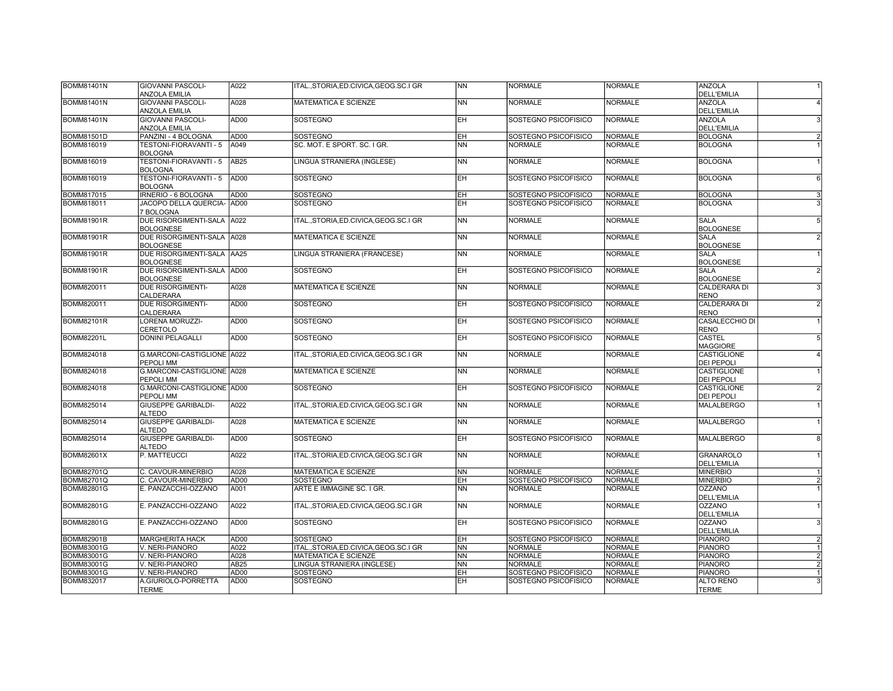| <b>BOMM81401N</b> | <b>GIOVANNI PASCOLI-</b><br><b>ANZOLA EMILIA</b> | A022             | ITAL.,STORIA,ED.CIVICA,GEOG.SC.I GR       | <b>NN</b>       | <b>NORMALE</b>       | <b>NORMALE</b> | <b>ANZOLA</b><br><b>DELL'EMILIA</b>     |                |
|-------------------|--------------------------------------------------|------------------|-------------------------------------------|-----------------|----------------------|----------------|-----------------------------------------|----------------|
| <b>BOMM81401N</b> | <b>GIOVANNI PASCOLI-</b><br><b>ANZOLA EMILIA</b> | A028             | MATEMATICA E SCIENZE                      | NN              | <b>NORMALE</b>       | <b>NORMALE</b> | <b>ANZOLA</b><br><b>DELL'EMILIA</b>     | $\vert$        |
| <b>BOMM81401N</b> | <b>GIOVANNI PASCOLI-</b><br><b>ANZOLA EMILIA</b> | AD <sub>00</sub> | <b>SOSTEGNO</b>                           | <b>EH</b>       | SOSTEGNO PSICOFISICO | <b>NORMALE</b> | <b>ANZOLA</b><br><b>DELL'EMILIA</b>     | $\overline{3}$ |
| <b>BOMM81501D</b> | PANZINI - 4 BOLOGNA                              | AD00             | SOSTEGNO                                  | EΗ              | SOSTEGNO PSICOFISICO | <b>NORMALE</b> | <b>BOLOGNA</b>                          | $\overline{2}$ |
| <b>BOMM816019</b> | TESTONI-FIORAVANTI - 5<br><b>BOLOGNA</b>         | A049             | SC. MOT. E SPORT. SC. I GR.               | NN              | <b>NORMALE</b>       | <b>NORMALE</b> | <b>BOLOGNA</b>                          |                |
| <b>BOMM816019</b> | TESTONI-FIORAVANTI - 5<br><b>BOLOGNA</b>         | AB <sub>25</sub> | LINGUA STRANIERA (INGLESE)                | N <sub>N</sub>  | <b>NORMALE</b>       | <b>NORMALE</b> | <b>BOLOGNA</b>                          |                |
| BOMM816019        | TESTONI-FIORAVANTI - 5<br><b>BOLOGNA</b>         | AD00             | <b>SOSTEGNO</b>                           | EН              | SOSTEGNO PSICOFISICO | <b>NORMALE</b> | <b>BOLOGNA</b>                          | 6              |
| <b>BOMM817015</b> | IRNERIO - 6 BOLOGNA                              | AD <sub>00</sub> | <b>SOSTEGNO</b>                           | <b>EH</b>       | SOSTEGNO PSICOFISICO | <b>NORMALE</b> | <b>BOLOGNA</b>                          | $\overline{3}$ |
| BOMM818011        | <b>JACOPO DELLA QUERCIA-</b><br>7 BOLOGNA        | AD00             | SOSTEGNO                                  | EН              | SOSTEGNO PSICOFISICO | <b>NORMALE</b> | <b>BOLOGNA</b>                          | $\overline{3}$ |
| <b>BOMM81901R</b> | DUE RISORGIMENTI-SALA A022<br><b>BOLOGNESE</b>   |                  | ITAL., STORIA, ED. CIVICA, GEOG. SC. I GR | N <sub>N</sub>  | <b>NORMALE</b>       | <b>NORMALE</b> | <b>SALA</b><br><b>BOLOGNESE</b>         | $\overline{5}$ |
| <b>BOMM81901R</b> | DUE RISORGIMENTI-SALA<br><b>BOLOGNESE</b>        | A028             | <b>MATEMATICA E SCIENZE</b>               | $\overline{NN}$ | <b>NORMALE</b>       | <b>NORMALE</b> | <b>SALA</b><br><b>BOLOGNESE</b>         | $\overline{2}$ |
| <b>BOMM81901R</b> | DUE RISORGIMENTI-SALA AA25<br><b>BOLOGNESE</b>   |                  | LINGUA STRANIERA (FRANCESE)               | <b>NN</b>       | <b>NORMALE</b>       | <b>NORMALE</b> | <b>SALA</b><br><b>BOLOGNESE</b>         |                |
| <b>BOMM81901R</b> | DUE RISORGIMENTI-SALA AD00<br><b>BOLOGNESE</b>   |                  | <b>SOSTEGNO</b>                           | <b>EH</b>       | SOSTEGNO PSICOFISICO | NORMALE        | SALA<br><b>BOLOGNESE</b>                | $\overline{2}$ |
| BOMM820011        | <b>DUE RISORGIMENTI-</b><br>CALDERARA            | A028             | <b>MATEMATICA E SCIENZE</b>               | NN              | <b>NORMALE</b>       | <b>NORMALE</b> | <b>CALDERARA DI</b><br><b>RENO</b>      | $\overline{3}$ |
| <b>BOMM820011</b> | <b>DUE RISORGIMENTI-</b><br><b>CALDERARA</b>     | AD <sub>00</sub> | <b>SOSTEGNO</b>                           | EН              | SOSTEGNO PSICOFISICO | <b>NORMALE</b> | <b>CALDERARA DI</b><br><b>RENO</b>      | $\overline{2}$ |
| <b>BOMM82101R</b> | <b>LORENA MORUZZI-</b><br>CERETOLO               | AD00             | SOSTEGNO                                  | EH              | SOSTEGNO PSICOFISICO | <b>NORMALE</b> | CASALECCHIO DI<br><b>RENO</b>           |                |
| <b>BOMM82201L</b> | <b>DONINI PELAGALLI</b>                          | AD <sub>00</sub> | <b>SOSTEGNO</b>                           | <b>EH</b>       | SOSTEGNO PSICOFISICO | <b>NORMALE</b> | <b>CASTEL</b><br><b>MAGGIORE</b>        | $\overline{5}$ |
| <b>BOMM824018</b> | G.MARCONI-CASTIGLIONE A022<br>PEPOLI MM          |                  | ITAL., STORIA, ED.CIVICA, GEOG.SC.I GR    | <b>NN</b>       | <b>NORMALE</b>       | <b>NORMALE</b> | <b>CASTIGLIONE</b><br><b>DEI PEPOLI</b> | $\overline{4}$ |
| <b>BOMM824018</b> | G.MARCONI-CASTIGLIONE A028<br>PEPOLI MM          |                  | <b>MATEMATICA E SCIENZE</b>               | N <sub>N</sub>  | <b>NORMALE</b>       | <b>NORMALE</b> | <b>CASTIGLIONE</b><br><b>DEI PEPOLI</b> |                |
| BOMM824018        | G.MARCONI-CASTIGLIONE AD00<br>PEPOLI MM          |                  | SOSTEGNO                                  | <b>EH</b>       | SOSTEGNO PSICOFISICO | <b>NORMALE</b> | <b>CASTIGLIONE</b><br>DEI PEPOLI        | $\overline{2}$ |
| BOMM825014        | <b>GIUSEPPE GARIBALDI-</b><br><b>ALTEDO</b>      | A022             | ITAL., STORIA, ED.CIVICA, GEOG.SC.I GR    | <b>NN</b>       | <b>NORMALE</b>       | <b>NORMALE</b> | <b>MALALBERGO</b>                       |                |
| <b>BOMM825014</b> | <b>GIUSEPPE GARIBALDI-</b><br><b>ALTEDO</b>      | A028             | <b>MATEMATICA E SCIENZE</b>               | N <sub>N</sub>  | <b>NORMALE</b>       | <b>NORMALE</b> | <b>MALALBERGO</b>                       |                |
| BOMM825014        | <b>GIUSEPPE GARIBALDI-</b><br><b>ALTEDO</b>      | AD00             | <b>SOSTEGNO</b>                           | EН              | SOSTEGNO PSICOFISICO | <b>NORMALE</b> | <b>MALALBERGO</b>                       | 8 <sup>1</sup> |
| <b>BOMM82601X</b> | P. MATTEUCCI                                     | A022             | ITAL., STORIA, ED.CIVICA, GEOG.SC.I GR    | <b>NN</b>       | <b>NORMALE</b>       | <b>NORMALE</b> | <b>GRANAROLO</b><br><b>DELL'EMILIA</b>  |                |
| <b>BOMM82701Q</b> | C. CAVOUR-MINERBIO                               | A028             | <b>MATEMATICA E SCIENZE</b>               | <b>NN</b>       | <b>NORMALE</b>       | <b>NORMALE</b> | <b>MINERBIO</b>                         |                |
| <b>BOMM82701Q</b> | CAVOUR-MINERBIO                                  | AD00             | <b>SOSTEGNO</b>                           | $\overline{H}$  | SOSTEGNO PSICOFISICO | <b>NORMALE</b> | <b>MINERBIO</b>                         | $\mathbf{2}$   |
| <b>BOMM82801G</b> | E. PANZACCHI-OZZANO                              | A001             | ARTE E IMMAGINE SC. I GR.                 | $\overline{NN}$ | <b>NORMALE</b>       | <b>NORMALE</b> | <b>OZZANO</b><br><b>DELL'EMILIA</b>     |                |
| <b>BOMM82801G</b> | E. PANZACCHI-OZZANO                              | A022             | ITAL., STORIA, ED. CIVICA, GEOG. SC. I GR | N <sub>N</sub>  | <b>NORMALE</b>       | <b>NORMALE</b> | <b>OZZANO</b><br><b>DELL'EMILIA</b>     |                |
| <b>BOMM82801G</b> | E. PANZACCHI-OZZANO                              | AD00             | <b>SOSTEGNO</b>                           | EH              | SOSTEGNO PSICOFISICO | <b>NORMALE</b> | <b>OZZANO</b><br><b>DELL'EMILIA</b>     | $\overline{3}$ |
| <b>BOMM82901B</b> | <b>MARGHERITA HACK</b>                           | AD <sub>00</sub> | <b>SOSTEGNO</b>                           | EH              | SOSTEGNO PSICOFISICO | NORMALE        | <b>PIANORO</b>                          | $\vert$ 2      |
| <b>BOMM83001G</b> | V. NERI-PIANORO                                  | A022             | ITAL., STORIA, ED. CIVICA, GEOG. SC. I GR | <b>NN</b>       | <b>NORMALE</b>       | <b>NORMALE</b> | <b>PIANORO</b>                          |                |
| <b>BOMM83001G</b> | V. NERI-PIANORO                                  | A028             | <b>MATEMATICA E SCIENZE</b>               | <b>NN</b>       | <b>NORMALE</b>       | <b>NORMALE</b> | <b>PIANORO</b>                          | $\overline{2}$ |
| BOMM83001G        | V. NERI-PIANORO                                  | AB25             | LINGUA STRANIERA (INGLESE)                | <b>NN</b>       | <b>NORMALE</b>       | <b>NORMALE</b> | <b>PIANORO</b>                          | $\overline{2}$ |
| <b>BOMM83001G</b> | V. NERI-PIANORO                                  | AD <sub>00</sub> | SOSTEGNO                                  | EΗ              | SOSTEGNO PSICOFISICO | <b>NORMALE</b> | <b>PIANORO</b>                          |                |
| <b>BOMM832017</b> | A.GIURIOLO-PORRETTA<br><b>TERME</b>              | AD <sub>00</sub> | <b>SOSTEGNO</b>                           | EН              | SOSTEGNO PSICOFISICO | <b>NORMALE</b> | <b>ALTO RENO</b><br><b>TERME</b>        | $\mathbf{3}$   |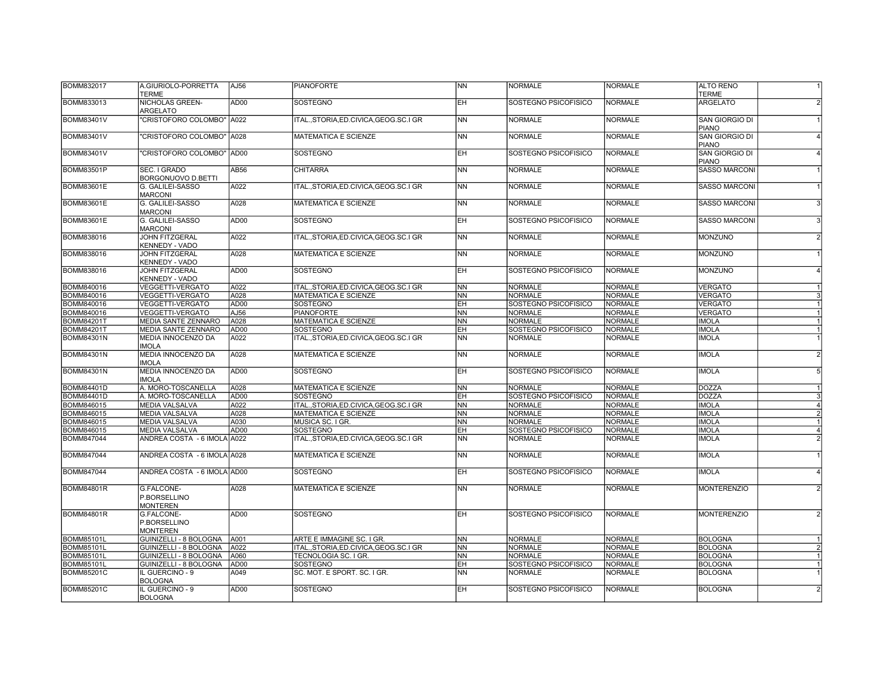| <b>BOMM832017</b> | A.GIURIOLO-PORRETTA<br><b>TERME</b>           | AJ56             | <b>PIANOFORTE</b>                         | <b>NN</b>              | <b>NORMALE</b>       | <b>NORMALE</b> | <b>ALTO RENO</b><br><b>TERME</b>          |
|-------------------|-----------------------------------------------|------------------|-------------------------------------------|------------------------|----------------------|----------------|-------------------------------------------|
| BOMM833013        | NICHOLAS GREEN-<br><b>ARGELATO</b>            | AD00             | <b>SOSTEGNO</b>                           | EH.                    | SOSTEGNO PSICOFISICO | <b>NORMALE</b> | <b>ARGELATO</b><br>$\overline{2}$         |
| <b>BOMM83401V</b> | 'CRISTOFORO COLOMBO" A022                     |                  | ITAL., STORIA, ED. CIVICA, GEOG. SC. I GR | <b>NN</b>              | <b>NORMALE</b>       | <b>NORMALE</b> | SAN GIORGIO DI<br><b>PIANO</b>            |
| <b>BOMM83401V</b> | "CRISTOFORO COLOMBO" A028                     |                  | <b>MATEMATICA E SCIENZE</b>               | N <sub>N</sub>         | <b>NORMALE</b>       | <b>NORMALE</b> | <b>SAN GIORGIO DI</b><br>$\vert$<br>PIANO |
| <b>BOMM83401V</b> | "CRISTOFORO COLOMBO" AD00                     |                  | <b>SOSTEGNO</b>                           | EH                     | SOSTEGNO PSICOFISICO | <b>NORMALE</b> | SAN GIORGIO DI<br>$\vert$<br>PIANO        |
| BOMM83501P        | SEC. I GRADO<br>BORGONUOVO D.BETTI            | AB <sub>56</sub> | <b>CHITARRA</b>                           | <b>NN</b>              | <b>NORMALE</b>       | <b>NORMALE</b> | <b>SASSO MARCONI</b>                      |
| <b>BOMM83601E</b> | G. GALILEI-SASSO<br><b>MARCONI</b>            | A022             | ITALSTORIA.ED.CIVICA.GEOG.SC.I GR         | <b>NN</b>              | <b>NORMALE</b>       | <b>NORMALE</b> | <b>SASSO MARCONI</b>                      |
| <b>BOMM83601E</b> | G. GALILEI-SASSO<br><b>MARCONI</b>            | A028             | <b>MATEMATICA E SCIENZE</b>               | <b>NN</b>              | <b>NORMALE</b>       | <b>NORMALE</b> | <b>SASSO MARCONI</b><br>$\vert$ 3         |
| <b>BOMM83601E</b> | G. GALILEI-SASSO<br><b>MARCONI</b>            | AD <sub>00</sub> | <b>SOSTEGNO</b>                           | EΗ                     | SOSTEGNO PSICOFISICO | <b>NORMALE</b> | <b>SASSO MARCONI</b><br>$\overline{3}$    |
| <b>BOMM838016</b> | <b>JOHN FITZGERAL</b><br>KENNEDY - VADO       | A022             | ITALSTORIA.ED.CIVICA.GEOG.SC.I GR         | N <sub>N</sub>         | <b>NORMALE</b>       | <b>NORMALE</b> | <b>MONZUNO</b><br>$\overline{2}$          |
| <b>BOMM838016</b> | <b>JOHN FITZGERAL</b><br>KENNEDY - VADO       | A028             | <b>MATEMATICA E SCIENZE</b>               | <b>NN</b>              | <b>NORMALE</b>       | <b>NORMALE</b> | MONZUNO                                   |
| <b>BOMM838016</b> | JOHN FITZGERAL<br>KENNEDY - VADO              | AD00             | <b>SOSTEGNO</b>                           | EH.                    | SOSTEGNO PSICOFISICO | <b>NORMALE</b> | <b>MONZUNO</b>                            |
| <b>BOMM840016</b> | <b>VEGGETTI-VERGATO</b>                       | A022             | ITALSTORIA.ED.CIVICA.GEOG.SC.I GR         | <b>NN</b>              | <b>NORMALE</b>       | <b>NORMALE</b> | <b>VERGATO</b>                            |
| <b>BOMM840016</b> | <b>VEGGETTI-VERGATO</b>                       | A028             | <b>MATEMATICA E SCIENZE</b>               | <b>NN</b>              | <b>NORMALE</b>       | <b>NORMALE</b> | <b>VERGATO</b><br>3                       |
| BOMM840016        | <b>VEGGETTI-VERGATO</b>                       | AD <sub>00</sub> | <b>SOSTEGNO</b>                           | EΗ                     | SOSTEGNO PSICOFISICO | <b>NORMALE</b> | <b>VERGATO</b>                            |
| BOMM840016        | <b>VEGGETTI-VERGATO</b>                       | AJ56             | <b>PIANOFORTE</b>                         | NN                     | <b>NORMALE</b>       | <b>NORMALE</b> | <b>VERGATO</b>                            |
| <b>BOMM84201T</b> | <b>MEDIA SANTE ZENNARO</b>                    | A028             | <b>MATEMATICA E SCIENZE</b>               | <b>NN</b>              | <b>NORMALE</b>       | <b>NORMALE</b> | <b>IMOLA</b>                              |
| <b>BOMM84201T</b> | MEDIA SANTE ZENNARO                           | AD <sub>00</sub> | <b>SOSTEGNO</b>                           | EH                     | SOSTEGNO PSICOFISICO | NORMALE        | <b>IMOLA</b><br>$\vert$ 1                 |
| <b>BOMM84301N</b> | <b>MEDIA INNOCENZO DA</b>                     | A022             | ITAL., STORIA, ED.CIVICA, GEOG.SC.I GR    | $\overline{NN}$        | <b>NORMALE</b>       | <b>NORMALE</b> | <b>IMOLA</b>                              |
|                   | <b>IMOLA</b>                                  |                  |                                           |                        |                      |                |                                           |
| <b>BOMM84301N</b> | <b>MEDIA INNOCENZO DA</b><br><b>IMOLA</b>     | A028             | <b>MATEMATICA E SCIENZE</b>               | <b>NN</b>              | <b>NORMALE</b>       | <b>NORMALE</b> | <b>IMOLA</b><br>$\overline{2}$            |
| <b>BOMM84301N</b> | <b>MEDIA INNOCENZO DA</b><br><b>IMOLA</b>     | AD <sub>00</sub> | <b>SOSTEGNO</b>                           | <b>EH</b>              | SOSTEGNO PSICOFISICO | NORMALE        | <b>IMOLA</b><br>5                         |
| <b>BOMM84401D</b> | A. MORO-TOSCANELLA                            | A028             | MATEMATICA E SCIENZE                      | <b>NN</b>              | <b>NORMALE</b>       | <b>NORMALE</b> | <b>DOZZA</b>                              |
| <b>BOMM84401D</b> | A. MORO-TOSCANELLA                            | AD00             | <b>SOSTEGNO</b>                           | EH                     | SOSTEGNO PSICOFISICO | <b>NORMALE</b> | <b>DOZZA</b><br>$\mathbf{3}$              |
| BOMM846015        | <b>MEDIA VALSALVA</b>                         | A022             | ITAL., STORIA, ED.CIVICA, GEOG.SC.I GR    | <b>NN</b>              | <b>NORMALE</b>       | <b>NORMALE</b> | <b>IMOLA</b><br>$\overline{4}$            |
| BOMM846015        | <b>MEDIA VALSALVA</b>                         | A028             | MATEMATICA E SCIENZE                      | <b>NN</b>              | <b>NORMALE</b>       | <b>NORMALE</b> | <b>IMOLA</b><br>$\overline{2}$            |
| BOMM846015        | <b>MEDIA VALSALVA</b>                         | A030             | MUSICA SC. I GR.                          | NΝ                     | <b>NORMALE</b>       | <b>NORMALE</b> | <b>IMOLA</b>                              |
| BOMM846015        | <b>MEDIA VALSALVA</b>                         | AD <sub>00</sub> | <b>SOSTEGNO</b>                           | EH                     | SOSTEGNO PSICOFISICO | NORMALE        | <b>IMOLA</b><br>$\vert$                   |
| <b>BOMM847044</b> | ANDREA COSTA - 6 IMOLA A022                   |                  | ITAL., STORIA, ED. CIVICA, GEOG. SC. I GR | $\overline{NN}$        | <b>NORMALE</b>       | <b>NORMALE</b> | <b>IMOLA</b><br>$\overline{2}$            |
| <b>BOMM847044</b> | ANDREA COSTA - 6 IMOLA A028                   |                  | MATEMATICA E SCIENZE                      | <b>NN</b>              | <b>NORMALE</b>       | <b>NORMALE</b> | <b>IMOLA</b>                              |
| <b>BOMM847044</b> | ANDREA COSTA - 6 IMOLA AD00                   |                  | <b>SOSTEGNO</b>                           | EH                     | SOSTEGNO PSICOFISICO | <b>NORMALE</b> | <b>IMOLA</b><br>$\vert$                   |
| <b>BOMM84801R</b> | G.FALCONE-<br>P.BORSELLINO<br><b>MONTEREN</b> | A028             | <b>MATEMATICA E SCIENZE</b>               | <b>NN</b>              | <b>NORMALE</b>       | <b>NORMALE</b> | <b>MONTERENZIO</b><br>$\overline{2}$      |
| <b>BOMM84801R</b> | G.FALCONE-<br>P.BORSELLINO<br><b>MONTEREN</b> | AD <sub>00</sub> | <b>SOSTEGNO</b>                           | EH.                    | SOSTEGNO PSICOFISICO | <b>NORMALE</b> | <b>MONTERENZIO</b><br>$\overline{2}$      |
| <b>BOMM85101L</b> | GUINIZELLI - 8 BOLOGNA                        | A001             | ARTE E IMMAGINE SC. I GR.                 | <b>NN</b>              | <b>NORMALE</b>       | <b>NORMALE</b> | <b>BOLOGNA</b>                            |
| <b>BOMM85101L</b> | GUINIZELLI - 8 BOLOGNA                        | A022             | ITAL., STORIA, ED.CIVICA, GEOG.SC.I GR    | NN                     | <b>NORMALE</b>       | <b>NORMALE</b> | <b>BOLOGNA</b><br>$\overline{2}$          |
| BOMM85101L        | GUINIZELLI - 8 BOLOGNA                        | A060             | TECNOLOGIA SC. I GR.                      | $\overline{\text{NN}}$ | NORMALE              | <b>NORMALE</b> | <b>BOLOGNA</b>                            |
| <b>BOMM85101L</b> | GUINIZELLI - 8 BOLOGNA                        | AD00             | <b>SOSTEGNO</b>                           | EΗ                     | SOSTEGNO PSICOFISICO | <b>NORMALE</b> | <b>BOLOGNA</b>                            |
| <b>BOMM85201C</b> | IL GUERCINO - 9<br><b>BOLOGNA</b>             | A049             | SC. MOT. E SPORT. SC. I GR.               | <b>NN</b>              | <b>NORMALE</b>       | <b>NORMALE</b> | <b>BOLOGNA</b>                            |
| <b>BOMM85201C</b> | IL GUERCINO - 9<br><b>BOLOGNA</b>             | AD00             | <b>SOSTEGNO</b>                           | EΗ                     | SOSTEGNO PSICOFISICO | <b>NORMALE</b> | <b>BOLOGNA</b><br>$\overline{2}$          |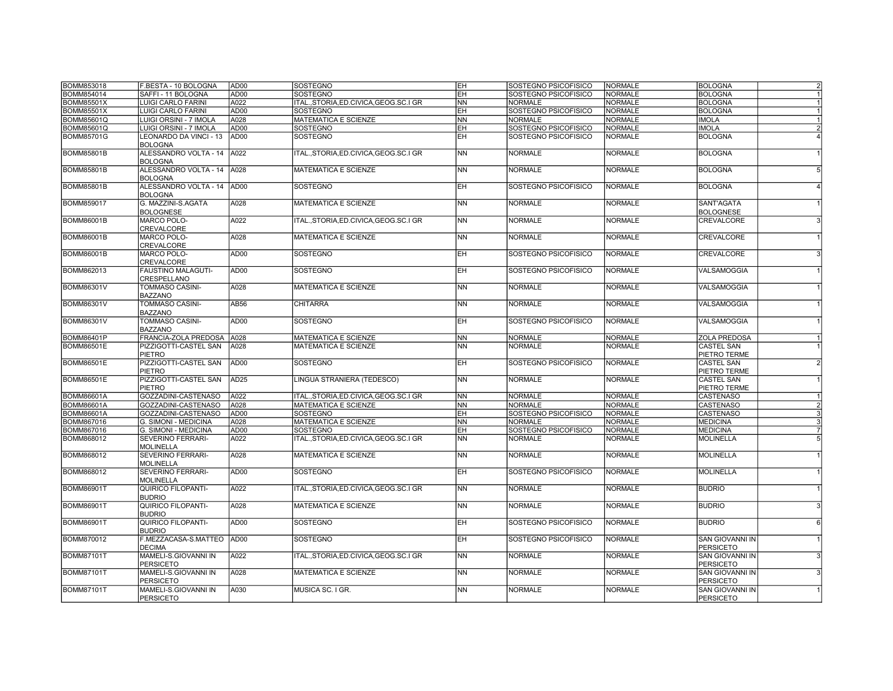| <b>BOMM853018</b> | F.BESTA - 10 BOLOGNA                         | AD <sub>00</sub> | SOSTEGNO                                  | EH                       | SOSTEGNO PSICOFISICO | <b>NORMALE</b> | <b>BOLOGNA</b>    | $\overline{2}$ |
|-------------------|----------------------------------------------|------------------|-------------------------------------------|--------------------------|----------------------|----------------|-------------------|----------------|
| BOMM854014        | SAFFI - 11 BOLOGNA                           | AD00             | SOSTEGNO                                  | EH                       | SOSTEGNO PSICOFISICO | <b>NORMALE</b> | <b>BOLOGNA</b>    | $\overline{1}$ |
| <b>BOMM85501X</b> | <b>LUIGI CARLO FARINI</b>                    | A022             | ITALSTORIA.ED.CIVICA.GEOG.SC.I GR         | <b>NN</b>                | <b>NORMALE</b>       | <b>NORMALE</b> | <b>BOLOGNA</b>    | $\mathbf{1}$   |
| <b>BOMM85501X</b> | <b>LUIGI CARLO FARINI</b>                    | AD <sub>00</sub> | <b>SOSTEGNO</b>                           | EH                       | SOSTEGNO PSICOFISICO | <b>NORMALE</b> | <b>BOLOGNA</b>    |                |
| <b>BOMM85601Q</b> | LUIGI ORSINI - 7 IMOLA                       | A028             | <b>MATEMATICA E SCIENZE</b>               | <b>NN</b>                | <b>NORMALE</b>       | <b>NORMALE</b> | <b>IMOLA</b>      | $\mathbf{1}$   |
| BOMM85601Q        | LUIGI ORSINI - 7 IMOLA                       | <b>AD00</b>      | SOSTEGNO                                  | EH                       | SOSTEGNO PSICOFISICO | <b>NORMALE</b> | <b>IMOLA</b>      | $\overline{2}$ |
| <b>BOMM85701G</b> | LEONARDO DA VINCI - 13                       | AD <sub>00</sub> | SOSTEGNO                                  | EΗ                       | SOSTEGNO PSICOFISICO | <b>NORMALE</b> | <b>BOLOGNA</b>    |                |
|                   | <b>BOLOGNA</b>                               |                  |                                           |                          |                      |                |                   |                |
| <b>BOMM85801B</b> | ALESSANDRO VOLTA - 14 A022<br><b>BOLOGNA</b> |                  | ITALSTORIA.ED.CIVICA.GEOG.SC.I GR         | <b>NN</b>                | <b>NORMALE</b>       | <b>NORMALE</b> | <b>BOLOGNA</b>    |                |
| <b>BOMM85801B</b> | ALESSANDRO VOLTA - 14                        | A028             | <b>MATEMATICA E SCIENZE</b>               | <b>NN</b>                | <b>NORMALE</b>       | <b>NORMALE</b> | <b>BOLOGNA</b>    | 5              |
|                   | <b>BOLOGNA</b>                               |                  |                                           |                          |                      |                |                   |                |
| <b>BOMM85801B</b> | ALESSANDRO VOLTA - 14 AD00                   |                  | <b>SOSTEGNO</b>                           | EH                       | SOSTEGNO PSICOFISICO | <b>NORMALE</b> | <b>BOLOGNA</b>    |                |
|                   | <b>BOLOGNA</b>                               |                  |                                           |                          |                      |                |                   |                |
| <b>BOMM859017</b> | G. MAZZINI-S.AGATA                           | A028             | <b>MATEMATICA E SCIENZE</b>               | <b>NN</b>                | <b>NORMALE</b>       | <b>NORMALE</b> | <b>SANT'AGATA</b> |                |
|                   | <b>BOLOGNESE</b>                             |                  |                                           |                          |                      |                | <b>BOLOGNESE</b>  |                |
| <b>BOMM86001B</b> | <b>MARCO POLO-</b>                           | A022             | ITAL.,STORIA,ED.CIVICA,GEOG.SC.I GR       | <b>NN</b>                | <b>NORMALE</b>       | <b>NORMALE</b> | CREVALCORE        | 3              |
|                   | <b>CREVALCORE</b>                            |                  |                                           |                          |                      |                |                   |                |
| <b>BOMM86001B</b> | <b>MARCO POLO-</b>                           | A028             | <b>MATEMATICA E SCIENZE</b>               | <b>NN</b>                | <b>NORMALE</b>       | <b>NORMALE</b> | CREVALCORE        |                |
|                   | <b>CREVALCORE</b>                            |                  |                                           |                          |                      |                |                   |                |
| <b>BOMM86001B</b> | <b>MARCO POLO-</b>                           | AD00             | SOSTEGNO                                  | <b>EH</b>                | SOSTEGNO PSICOFISICO | <b>NORMALE</b> | CREVALCORE        | 3              |
|                   | CREVALCORE                                   |                  |                                           |                          |                      |                |                   |                |
| BOMM862013        | FAUSTINO MALAGUTI-                           | AD00             | SOSTEGNO                                  | <b>EH</b>                | SOSTEGNO PSICOFISICO | <b>NORMALE</b> | VALSAMOGGIA       |                |
|                   |                                              |                  |                                           |                          |                      |                |                   |                |
| <b>BOMM86301V</b> | CRESPELLANO<br><b>TOMMASO CASINI-</b>        | A028             | <b>MATEMATICA E SCIENZE</b>               | N <sub>N</sub>           | <b>NORMALE</b>       | <b>NORMALE</b> | VALSAMOGGIA       |                |
|                   |                                              |                  |                                           |                          |                      |                |                   |                |
|                   | <b>BAZZANO</b>                               |                  |                                           |                          |                      |                |                   |                |
| <b>BOMM86301V</b> | <b>TOMMASO CASINI-</b>                       | AB56             | <b>CHITARRA</b>                           | <b>NN</b>                | <b>NORMALE</b>       | <b>NORMALE</b> | VALSAMOGGIA       |                |
|                   | <b>BAZZANO</b>                               |                  |                                           |                          |                      |                |                   |                |
| <b>BOMM86301V</b> | TOMMASO CASINI-                              | AD <sub>00</sub> | SOSTEGNO                                  | EH                       | SOSTEGNO PSICOFISICO | <b>NORMALE</b> | VALSAMOGGIA       |                |
|                   | <b>BAZZANO</b>                               |                  |                                           |                          |                      |                |                   |                |
| <b>BOMM86401P</b> | FRANCIA-ZOLA PREDOSA                         | A028             | <b>MATEMATICA E SCIENZE</b>               | <b>NN</b>                | <b>NORMALE</b>       | <b>NORMALE</b> | ZOLA PREDOSA      | $\mathbf{1}$   |
| <b>BOMM86501E</b> | PIZZIGOTTI-CASTEL SAN                        | A028             | MATEMATICA E SCIENZE                      | $\overline{\mathsf{NN}}$ | <b>NORMALE</b>       | <b>NORMALE</b> | <b>CASTEL SAN</b> | $\mathbf{1}$   |
|                   | <b>PIETRO</b>                                |                  |                                           |                          |                      |                | PIETRO TERME      |                |
| <b>BOMM86501E</b> | PIZZIGOTTI-CASTEL SAN                        | AD00             | <b>SOSTEGNO</b>                           | EH                       | SOSTEGNO PSICOFISICO | <b>NORMALE</b> | <b>CASTEL SAN</b> | $\overline{2}$ |
|                   | <b>PIETRO</b>                                |                  |                                           |                          |                      |                | PIETRO TERME      |                |
| <b>BOMM86501E</b> | PIZZIGOTTI-CASTEL SAN                        | AD <sub>25</sub> | LINGUA STRANIERA (TEDESCO)                | <b>NN</b>                | <b>NORMALE</b>       | <b>NORMALE</b> | <b>CASTEL SAN</b> |                |
|                   | PIETRO                                       |                  |                                           |                          |                      |                | PIETRO TERME      |                |
| <b>BOMM86601A</b> | GOZZADINI-CASTENASO                          | A022             | ITAL., STORIA, ED. CIVICA, GEOG. SC. I GR | <b>NN</b>                | <b>NORMALE</b>       | <b>NORMALE</b> | <b>CASTENASO</b>  |                |
| <b>BOMM86601A</b> | GOZZADINI-CASTENASO                          | A028             | MATEMATICA E SCIENZE                      | <b>NN</b>                | <b>NORMALE</b>       | <b>NORMALE</b> | CASTENASO         | $\overline{2}$ |
| <b>BOMM86601A</b> | GOZZADINI-CASTENASO                          | AD00             | <b>SOSTEGNO</b>                           | EH                       | SOSTEGNO PSICOFISICO | <b>NORMALE</b> | <b>CASTENASO</b>  | 3              |
| <b>BOMM867016</b> | G. SIMONI - MEDICINA                         | A028             | <b>MATEMATICA E SCIENZE</b>               | $\overline{NN}$          | <b>NORMALE</b>       | <b>NORMALE</b> | <b>MEDICINA</b>   | 3              |
| BOMM867016        | <b>G. SIMONI - MEDICINA</b>                  | AD <sub>00</sub> | SOSTEGNO                                  | EH                       | SOSTEGNO PSICOFISICO | <b>NORMALE</b> | <b>MEDICINA</b>   | $\overline{7}$ |
| BOMM868012        | SEVERINO FERRARI-                            | A022             | ITAL.,STORIA,ED.CIVICA,GEOG.SC.I GR       | <b>NN</b>                | <b>NORMALE</b>       | <b>NORMALE</b> | <b>MOLINELLA</b>  | 5              |
|                   | <b>MOLINELLA</b>                             |                  |                                           |                          |                      |                |                   |                |
| <b>BOMM868012</b> | <b>SEVERINO FERRARI-</b>                     | A028             | <b>MATEMATICA E SCIENZE</b>               | <b>NN</b>                | <b>NORMALE</b>       | <b>NORMALE</b> | <b>MOLINELLA</b>  |                |
|                   | <b>MOLINELLA</b>                             |                  |                                           |                          |                      |                |                   |                |
| BOMM868012        | <b>SEVERINO FERRARI-</b>                     | AD00             | SOSTEGNO                                  | <b>EH</b>                | SOSTEGNO PSICOFISICO | <b>NORMALE</b> | <b>MOLINELLA</b>  |                |
|                   | <b>MOLINELLA</b>                             |                  |                                           |                          |                      |                |                   |                |
| <b>BOMM86901T</b> | <b>QUIRICO FILOPANTI-</b>                    | A022             | ITAL.,STORIA,ED.CIVICA,GEOG.SC.I GR       | <b>NN</b>                | <b>NORMALE</b>       | <b>NORMALE</b> | <b>BUDRIO</b>     |                |
|                   | <b>BUDRIO</b>                                |                  |                                           |                          |                      |                |                   |                |
| <b>BOMM86901T</b> | <b>QUIRICO FILOPANTI-</b>                    | A028             | <b>MATEMATICA E SCIENZE</b>               | <b>NN</b>                | <b>NORMALE</b>       | <b>NORMALE</b> | <b>BUDRIO</b>     | 3              |
|                   | <b>BUDRIO</b>                                |                  |                                           |                          |                      |                |                   |                |
| <b>BOMM86901T</b> | <b>QUIRICO FILOPANTI-</b>                    | AD00             | SOSTEGNO                                  | EH                       | SOSTEGNO PSICOFISICO | <b>NORMALE</b> | <b>BUDRIO</b>     | 6              |
|                   | <b>BUDRIO</b>                                |                  |                                           |                          |                      |                |                   |                |
| <b>BOMM870012</b> | F.MEZZACASA-S.MATTEO                         | AD <sub>00</sub> | SOSTEGNO                                  | <b>EH</b>                | SOSTEGNO PSICOFISICO | <b>NORMALE</b> | SAN GIOVANNI IN   |                |
|                   | <b>DECIMA</b>                                |                  |                                           |                          |                      |                | <b>PERSICETO</b>  |                |
| <b>BOMM87101T</b> | MAMELI-S.GIOVANNI IN                         | A022             | ITALSTORIA.ED.CIVICA.GEOG.SC.I GR         | <b>NN</b>                | <b>NORMALE</b>       | <b>NORMALE</b> | SAN GIOVANNI IN   | 3              |
|                   | <b>PERSICETO</b>                             |                  |                                           |                          |                      |                | <b>PERSICETO</b>  |                |
| <b>BOMM87101T</b> | MAMELI-S.GIOVANNI IN                         | A028             | MATEMATICA E SCIENZE                      | <b>NN</b>                | <b>NORMALE</b>       | <b>NORMALE</b> | SAN GIOVANNI IN   | 3              |
|                   | <b>PERSICETO</b>                             |                  |                                           |                          |                      |                | <b>PERSICETO</b>  |                |
| <b>BOMM87101T</b> | MAMELI-S.GIOVANNI IN                         | A030             | MUSICA SC. I GR.                          | <b>NN</b>                | <b>NORMALE</b>       | <b>NORMALE</b> | SAN GIOVANNI IN   |                |
|                   | <b>PERSICETO</b>                             |                  |                                           |                          |                      |                | <b>PERSICETO</b>  |                |
|                   |                                              |                  |                                           |                          |                      |                |                   |                |